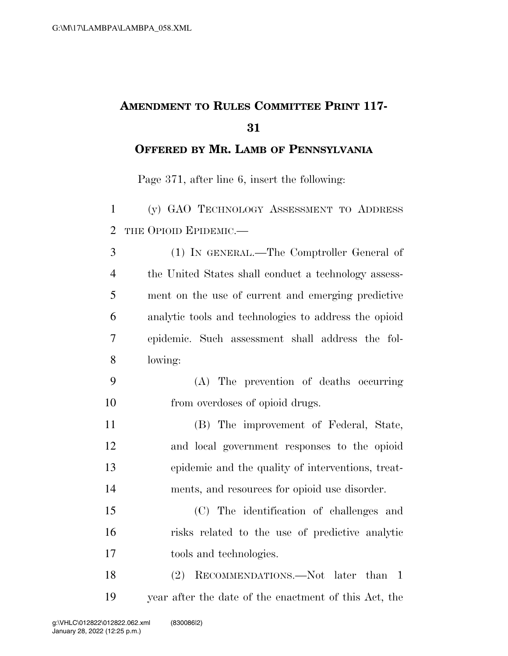## **AMENDMENT TO RULES COMMITTEE PRINT 117-**

## **OFFERED BY MR. LAMB OF PENNSYLVANIA**

Page 371, after line 6, insert the following:

 (y) GAO TECHNOLOGY ASSESSMENT TO ADDRESS THE OPIOID EPIDEMIC.—

 (1) IN GENERAL.—The Comptroller General of the United States shall conduct a technology assess- ment on the use of current and emerging predictive analytic tools and technologies to address the opioid epidemic. Such assessment shall address the fol-lowing:

- (A) The prevention of deaths occurring from overdoses of opioid drugs.
- (B) The improvement of Federal, State, and local government responses to the opioid epidemic and the quality of interventions, treat-ments, and resources for opioid use disorder.

 (C) The identification of challenges and risks related to the use of predictive analytic tools and technologies.

18 (2) RECOMMENDATIONS.—Not later than 1 year after the date of the enactment of this Act, the